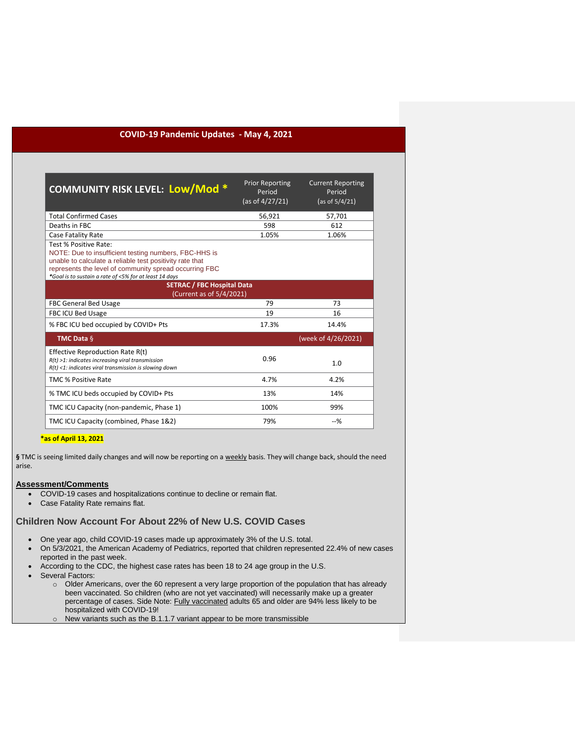## **COVID-19 Pandemic Updates - May 4, 2021**

| <b>COMMUNITY RISK LEVEL: Low/Mod*</b>                                                                                                                                                                                                                          | <b>Prior Reporting</b><br>Period<br>(as of 4/27/21) | <b>Current Reporting</b><br>Period<br>(as of 5/4/21) |
|----------------------------------------------------------------------------------------------------------------------------------------------------------------------------------------------------------------------------------------------------------------|-----------------------------------------------------|------------------------------------------------------|
| <b>Total Confirmed Cases</b>                                                                                                                                                                                                                                   | 56,921                                              | 57,701                                               |
| Deaths in FBC                                                                                                                                                                                                                                                  | 598                                                 | 612                                                  |
| Case Fatality Rate                                                                                                                                                                                                                                             | 1.05%                                               | 1.06%                                                |
| Test % Positive Rate:<br>NOTE: Due to insufficient testing numbers, FBC-HHS is<br>unable to calculate a reliable test positivity rate that<br>represents the level of community spread occurring FBC<br>*Goal is to sustain a rate of <5% for at least 14 days |                                                     |                                                      |
| <b>SETRAC / FBC Hospital Data</b><br>(Current as of 5/4/2021)                                                                                                                                                                                                  |                                                     |                                                      |
| <b>FBC General Bed Usage</b>                                                                                                                                                                                                                                   | 79                                                  | 73                                                   |
| <b>FBC ICU Bed Usage</b>                                                                                                                                                                                                                                       | 19                                                  | 16                                                   |
| % FBC ICU bed occupied by COVID+ Pts                                                                                                                                                                                                                           | 17.3%                                               | 14.4%                                                |
| <b>TMC Data §</b>                                                                                                                                                                                                                                              |                                                     | (week of 4/26/2021)                                  |
| Effective Reproduction Rate R(t)<br>$R(t)$ >1: indicates increasing viral transmission<br>$R(t)$ <1: indicates viral transmission is slowing down                                                                                                              | 0.96                                                | 1.0                                                  |
| <b>TMC % Positive Rate</b>                                                                                                                                                                                                                                     | 4.7%                                                | 4.2%                                                 |
| % TMC ICU beds occupied by COVID+ Pts                                                                                                                                                                                                                          | 13%                                                 | 14%                                                  |
| TMC ICU Capacity (non-pandemic, Phase 1)                                                                                                                                                                                                                       | 100%                                                | 99%                                                  |
| TMC ICU Capacity (combined, Phase 1&2)                                                                                                                                                                                                                         | 79%                                                 | $-9/6$                                               |

#### **\*as of April 13, 2021**

**§** TMC is seeing limited daily changes and will now be reporting on a weekly basis. They will change back, should the need arise.

### **Assessment/Comments**

- COVID-19 cases and hospitalizations continue to decline or remain flat.
- Case Fatality Rate remains flat.

# **Children Now Account For About 22% of New U.S. COVID Cases**

- One year ago, child COVID-19 cases made up approximately 3% of the U.S. total.
- On 5/3/2021, the American Academy of Pediatrics, reported that children represented 22.4% of new cases reported in the past week.
- According to the CDC, the highest case rates has been 18 to 24 age group in the U.S.
- Several Factors:
	- o Older Americans, over the 60 represent a very large proportion of the population that has already been vaccinated. So children (who are not yet vaccinated) will necessarily make up a greater percentage of cases. Side Note: Fully vaccinated [adults 65 and older are 94% less likely to be](http://r20.rs6.net/tn.jsp?f=001iaqQnLaj6n69kgNt36VyAH_9bVW8ZRcUmaVq2fbI6rIcg21RCsyeSh1nwOxE1nbvDi2i6cFGXhKeQ_1k4PtiVqN-4K-ODJYuroo8umx24t06zZTwKFs3GDLJ0G9cRG5-en-NIaLjigRLfzZhSo_LSLgkNSYrvgABCeQ9VIjgHTxl5J3ek2ns6AiVrLB-A2CpI4Re7kwOXFKKbI0i7iPuk3DuuQj72x319LrecmVLIzc=&c=GLw3qjQnTJUgmEoT7SNGnLdEGoAHk8Fu5w8s3v2kvDd5kc5kCKsNHg==&ch=3hU0BEtu1E7OQoO-hnBEeqP-LUcMxOneCX-3ipSM16O9AxXxYGWPcQ==&jrc=1)  [hospitalized with COVID-19!](http://r20.rs6.net/tn.jsp?f=001iaqQnLaj6n69kgNt36VyAH_9bVW8ZRcUmaVq2fbI6rIcg21RCsyeSh1nwOxE1nbvDi2i6cFGXhKeQ_1k4PtiVqN-4K-ODJYuroo8umx24t06zZTwKFs3GDLJ0G9cRG5-en-NIaLjigRLfzZhSo_LSLgkNSYrvgABCeQ9VIjgHTxl5J3ek2ns6AiVrLB-A2CpI4Re7kwOXFKKbI0i7iPuk3DuuQj72x319LrecmVLIzc=&c=GLw3qjQnTJUgmEoT7SNGnLdEGoAHk8Fu5w8s3v2kvDd5kc5kCKsNHg==&ch=3hU0BEtu1E7OQoO-hnBEeqP-LUcMxOneCX-3ipSM16O9AxXxYGWPcQ==&jrc=1)
	- o New variants such as the B.1.1.7 variant appear to be more transmissible